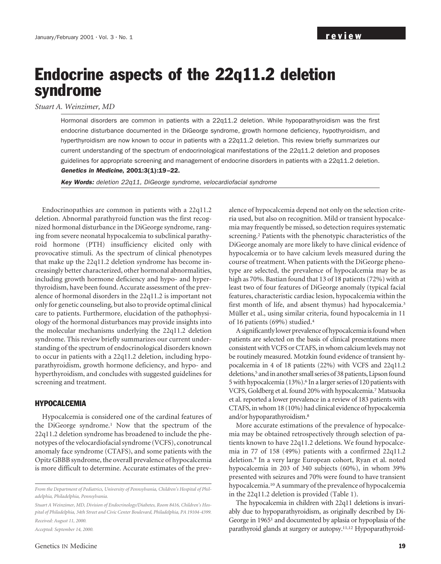# Endocrine aspects of the 22q11.2 deletion syndrome

*Stuart A. Weinzimer, MD*

Hormonal disorders are common in patients with a 22q11.2 deletion. While hypoparathyroidism was the first endocrine disturbance documented in the DiGeorge syndrome, growth hormone deficiency, hypothyroidism, and hyperthyroidism are now known to occur in patients with a 22q11.2 deletion. This review briefly summarizes our current understanding of the spectrum of endocrinological manifestations of the 22q11.2 deletion and proposes guidelines for appropriate screening and management of endocrine disorders in patients with a 22q11.2 deletion. Genetics in Medicine, 2001:3(1):19–22.

Key Words: deletion 22q11, DiGeorge syndrome, velocardiofacial syndrome

Endocrinopathies are common in patients with a 22q11.2 deletion. Abnormal parathyroid function was the first recognized hormonal disturbance in the DiGeorge syndrome, ranging from severe neonatal hypocalcemia to subclinical parathyroid hormone (PTH) insufficiency elicited only with provocative stimuli. As the spectrum of clinical phenotypes that make up the 22q11.2 deletion syndrome has become increasingly better characterized, other hormonal abnormalities, including growth hormone deficiency and hypo- and hyperthyroidism, have been found. Accurate assessment of the prevalence of hormonal disorders in the 22q11.2 is important not only for genetic counseling, but also to provide optimal clinical care to patients. Furthermore, elucidation of the pathophysiology of the hormonal disturbances may provide insights into the molecular mechanisms underlying the 22q11.2 deletion syndrome. This review briefly summarizes our current understanding of the spectrum of endocrinological disorders known to occur in patients with a 22q11.2 deletion, including hypoparathyroidism, growth hormone deficiency, and hypo- and hyperthyroidism, and concludes with suggested guidelines for screening and treatment.

## HYPOCALCEMIA

Hypocalcemia is considered one of the cardinal features of the DiGeorge syndrome.1 Now that the spectrum of the 22q11.2 deletion syndrome has broadened to include the phenotypes of the velocardiofacial syndrome (VCFS), conotruncal anomaly face syndrome (CTAFS), and some patients with the Opitz GBBB syndrome, the overall prevalence of hypocalcemia is more difficult to determine. Accurate estimates of the prev-

*From the Department of Pediatrics, University of Pennsylvania, Children's Hospital of Philadelphia, Philadelphia, Pennsylvania.*

*Stuart A Weinzimer, MD, Division of Endocrinology/Diabetes, Room 8416, Children's Hospital of Philadelphia, 34th Street and Civic Center Boulevard, Philadelphia, PA 19104-4399. Received: August 11, 2000.*

*Accepted: September 14, 2000.*

alence of hypocalcemia depend not only on the selection criteria used, but also on recognition. Mild or transient hypocalcemia may frequently be missed, so detection requires systematic screening.2 Patients with the phenotypic characteristics of the DiGeorge anomaly are more likely to have clinical evidence of hypocalcemia or to have calcium levels measured during the course of treatment. When patients with the DiGeorge phenotype are selected, the prevalence of hypocalcemia may be as high as 70%. Bastian found that 13 of 18 patients (72%) with at least two of four features of DiGeorge anomaly (typical facial features, characteristic cardiac lesion, hypocalcemia within the first month of life, and absent thymus) had hypocalcemia.3 Müller et al., using similar criteria, found hypocalcemia in 11 of 16 patients (69%) studied.4

A significantly lower prevalence of hypocalcemia is found when patients are selected on the basis of clinical presentations more consistent with VCFS or CTAFS, in whom calcium levels may not be routinely measured. Motzkin found evidence of transient hypocalcemia in 4 of 18 patients (22%) with VCFS and 22q11.2 deletions,<sup>5</sup> and in another small series of 38 patients, Lipson found 5 with hypocalcemia (13%).6 In a larger series of 120 patients with VCFS, Goldberg et al. found 20% with hypocalcemia.7 Matsuoka et al. reported a lower prevalence in a review of 183 patients with CTAFS, in whom 18 (10%) had clinical evidence of hypocalcemia and/or hypoparathyroidism.8

More accurate estimations of the prevalence of hypocalcemia may be obtained retrospectively through selection of patients known to have 22q11.2 deletions. We found hypocalcemia in 77 of 158 (49%) patients with a confirmed 22q11.2 deletion.9 In a very large European cohort, Ryan et al. noted hypocalcemia in 203 of 340 subjects (60%), in whom 39% presented with seizures and 70% were found to have transient hypocalcemia.10A summary of the prevalence of hypocalcemia in the 22q11.2 deletion is provided (Table 1).

The hypocalcemia in children with 22q11 deletions is invariably due to hypoparathyroidism, as originally described by Di-George in 19651 and documented by aplasia or hypoplasia of the parathyroid glands at surgery or autopsy.11,12 Hypoparathyroid-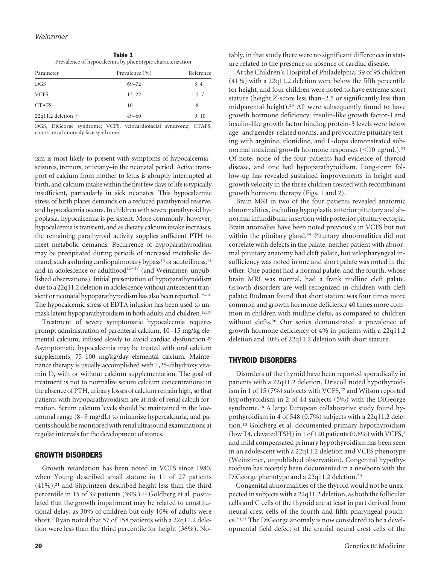Table 1 Prevalence of hypocalcemia by phenotypic characterization

| Parameter            | Prevalence (%) | Reference |
|----------------------|----------------|-----------|
| <b>DGS</b>           | $69 - 72$      | 3, 4      |
| <b>VCFS</b>          | $13 - 22$      | $5 - 7$   |
| <b>CTAFS</b>         | 10             | 8         |
| $22q11.2$ deletion + | $49 - 60$      | 9, 10     |

DGS, DiGeorge syndrome; VCFS, velocardiofacial syndrome; CTAFS, conotruncal anomaly face syndrome.

ism is most likely to present with symptoms of hypocalcemia– seizures, tremors, or tetany–in the neonatal period. Active transport of calcium from mother to fetus is abruptly interrupted at birth, and calcium intake within the first few days of life is typically insufficient, particularly in sick neonates. This hypocalcemic stress of birth places demands on a reduced parathyroid reserve, and hypocalcemia occurs. In children with severe parathyroid hypoplasia, hypocalcemia is persistent. More commonly, however, hypocalcemia is transient, and as dietary calcium intake increases, the remaining parathyroid activity supplies sufficient PTH to meet metabolic demands. Recurrence of hypoparathyroidism may be precipitated during periods of increased metabolic demand, such as during cardiopulmonary bypass<sup>13</sup> or acute illness,<sup>14</sup> and in adolescence or adulthood<sup>15-17</sup> (and Weinzimer, unpublished observations). Initial presentation of hypoparathyroidism due to a 22q11.2 deletion in adolescence without antecedent transient or neonatal hypoparathyroidism has also been reported.<sup>15-18</sup> The hypocalcemic stress of EDTA infusion has been used to unmask latent hypoparathyroidism in both adults and children.12,19

Treatment of severe symptomatic hypocalcemia requires prompt administration of parenteral calcium, 10–15 mg/kg elemental calcium, infused slowly to avoid cardiac dysfunction.20 Asymptomatic hypocalcemia may be treated with oral calcium supplements, 75–100 mg/kg/day elemental calcium. Maintenance therapy is usually accomplished with 1,25-dihydroxy vitamin D, with or without calcium supplementation. The goal of treatment is not to normalize serum calcium concentrations: in the absence of PTH, urinary losses of calcium remain high, so that patients with hypoparathyroidism are at risk of renal calculi formation. Serum calcium levels should be maintained in the lownormal range (8–9 mg/dL) to minimize hypercalciuria, and patients should be monitored with renal ultrasound examinations at regular intervals for the development of stones.

## GROWTH DISORDERS

Growth retardation has been noted in VCFS since 1980, when Young described small stature in 11 of 27 patients  $(41\%)$ ,<sup>21</sup> and Shprintzen described height less than the third percentile in 15 of 39 patients (39%).<sup>22</sup> Goldberg et al. postulated that the growth impairment may be related to constitutional delay, as 30% of children but only 10% of adults were short.7 Ryan noted that 57 of 158 patients with a 22q11.2 deletion were less than the third percentile for height (36%). Notably, in that study there were no significant differences in stature related to the presence or absence of cardiac disease.

At the Children's Hospital of Philadelphia, 39 of 95 children (41%) with a 22q11.2 deletion were below the fifth percentile for height, and four children were noted to have extreme short stature (height Z-score less than–2.5 or significantly less than midparental height).23 All were subsequently found to have growth hormone deficiency: insulin-like growth factor-I and insulin-like growth factor binding protein-3 levels were below age- and gender-related norms, and provocative pituitary testing with arginine, clonidine, and L-dopa demonstrated subnormal maximal growth hormone responses  $(<10$  ng/mL).<sup>24</sup> Of note, none of the four patients had evidence of thyroid disease, and one had hypoparathyroidism. Long-term follow-up has revealed sustained improvements in height and growth velocity in the three children treated with recombinant growth hormone therapy (Figs. 1 and 2).

Brain MRI in two of the four patients revealed anatomic abnormalities, including hypoplastic anterior pituitary and abnormal infundibular insertion with posterior pituitary ectopia. Brain anomalies have been noted previously in VCFS but not within the pituitary gland.25 Pituitary abnormalities did not correlate with defects in the palate: neither patient with abnormal pituitary anatomy had cleft palate, but velopharyngeal insufficiency was noted in one and short palate was noted in the other. One patient had a normal palate, and the fourth, whose brain MRI was normal, had a frank midline cleft palate. Growth disorders are well-recognized in children with cleft palate; Rudman found that short stature was four times more common and growth hormone deficiency 40 times more common in children with midline clefts, as compared to children without clefts.26 Our series demonstrated a prevalence of growth hormone deficiency of 4% in patients with a 22q11.2 deletion and 10% of 22q11.2 deletion with short stature.

## THYROID DISORDERS

Disorders of the thyroid have been reported sporadically in patients with a 22q11.2 deletion. Driscoll noted hypothyroidism in 1 of 15 (7%) subjects with VCFS,<sup>27</sup> and Wilson reported hypothyroidism in 2 of 44 subjects (5%) with the DiGeorge syndrome.28 A large European collaborative study found hypothyroidism in 4 of 548 (0.7%) subjects with a 22q11.2 deletion.10 Goldberg et al. documented primary hypothyroidism (low T4, elevated TSH) in 1 of 120 patients (0.8%) with VCFS,7 and mild compensated primary hypothyroidism has been seen in an adolescent with a 22q11.2 deletion and VCFS phenotype (Weinzimer, unpublished observation). Congenital hypothyroidism has recently been documented in a newborn with the DiGeorge phenotype and a 22q11.2 deletion.29

Congenital abnormalities of the thyroid would not be unexpected in subjects with a 22q11.2 deletion, as both the follicular cells and C cells of the thyroid are at least in part derived from neural crest cells of the fourth and fifth pharyngeal pouches.30,31 The DiGeorge anomaly is now considered to be a developmental field defect of the cranial neural crest cells of the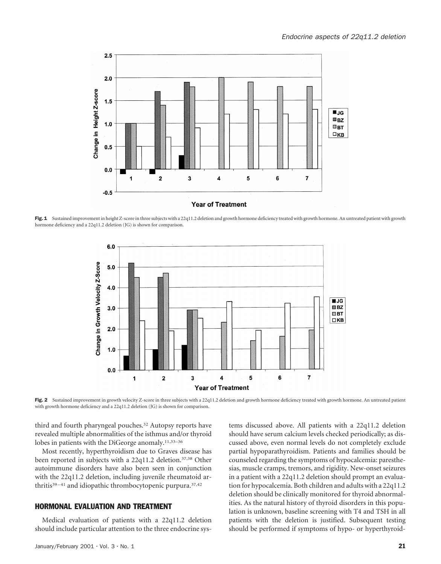

Fig. 1 Sustained improvement in height Z-score in three subjects with a 22q11.2 deletion and growth hormone deficiency treated with growth hormone. An untreated patient with growth hormone deficiency and a 22q11.2 deletion (JG) is shown for comparison.



Fig. 2 Sustained improvement in growth velocity Z-score in three subjects with a 22q11.2 deletion and growth hormone deficiency treated with growth hormone. An untreated patient with growth hormone deficiency and a 22q11.2 deletion (JG) is shown for comparison.

third and fourth pharyngeal pouches.<sup>32</sup> Autopsy reports have revealed multiple abnormalities of the isthmus and/or thyroid lobes in patients with the DiGeorge anomaly.11,33–36

Most recently, hyperthyroidism due to Graves disease has been reported in subjects with a 22q11.2 deletion.<sup>37,38</sup> Other autoimmune disorders have also been seen in conjunction with the 22q11.2 deletion, including juvenile rheumatoid arthritis<sup>39-41</sup> and idiopathic thrombocytopenic purpura.<sup>37,42</sup>

## HORMONAL EVALUATION AND TREATMENT

Medical evaluation of patients with a 22q11.2 deletion should include particular attention to the three endocrine systems discussed above. All patients with a 22q11.2 deletion should have serum calcium levels checked periodically; as discussed above, even normal levels do not completely exclude partial hypoparathyroidism. Patients and families should be counseled regarding the symptoms of hypocalcemia: paresthesias, muscle cramps, tremors, and rigidity. New-onset seizures in a patient with a 22q11.2 deletion should prompt an evaluation for hypocalcemia. Both children and adults with a 22q11.2 deletion should be clinically monitored for thyroid abnormalities. As the natural history of thyroid disorders in this population is unknown, baseline screening with T4 and TSH in all patients with the deletion is justified. Subsequent testing should be performed if symptoms of hypo- or hyperthyroid-